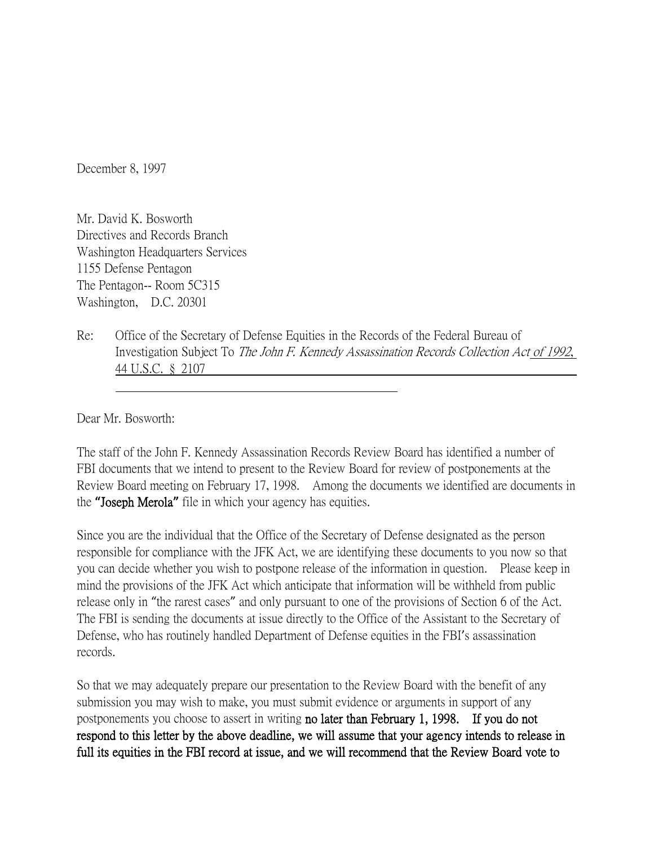December 8, 1997

Mr. David K. Bosworth Directives and Records Branch Washington Headquarters Services 1155 Defense Pentagon The Pentagon-- Room 5C315 Washington, D.C. 20301

Re: Office of the Secretary of Defense Equities in the Records of the Federal Bureau of Investigation Subject To The John F. Kennedy Assassination Records Collection Act of 1992, 44 U.S.C. § 2107

Dear Mr. Bosworth:

The staff of the John F. Kennedy Assassination Records Review Board has identified a number of FBI documents that we intend to present to the Review Board for review of postponements at the Review Board meeting on February 17, 1998. Among the documents we identified are documents in the **"**Joseph Merola**"** file in which your agency has equities.

Since you are the individual that the Office of the Secretary of Defense designated as the person responsible for compliance with the JFK Act, we are identifying these documents to you now so that you can decide whether you wish to postpone release of the information in question. Please keep in mind the provisions of the JFK Act which anticipate that information will be withheld from public release only in "the rarest cases" and only pursuant to one of the provisions of Section 6 of the Act. The FBI is sending the documents at issue directly to the Office of the Assistant to the Secretary of Defense, who has routinely handled Department of Defense equities in the FBI's assassination records.

So that we may adequately prepare our presentation to the Review Board with the benefit of any submission you may wish to make, you must submit evidence or arguments in support of any postponements you choose to assert in writing no later than February 1, 1998. If you do not respond to this letter by the above deadline, we will assume that your agency intends to release in full its equities in the FBI record at issue, and we will recommend that the Review Board vote to